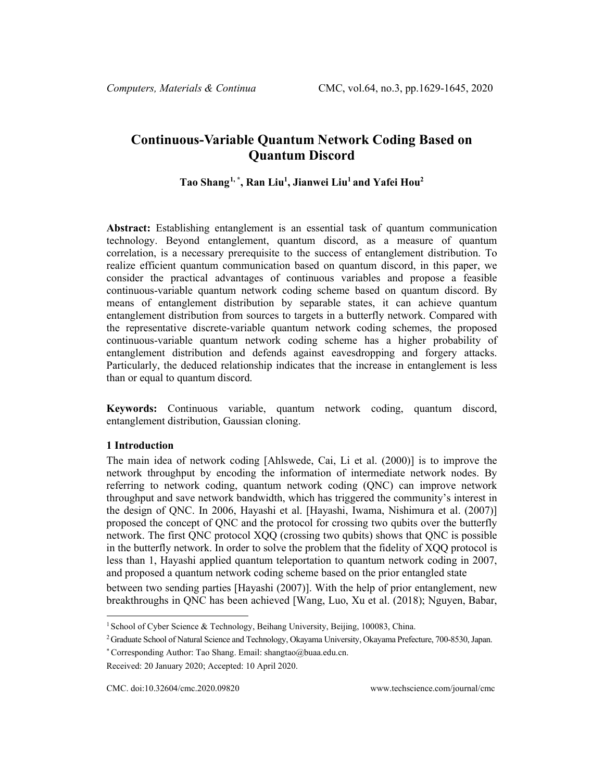# **Continuous-Variable Quantum Network Coding Based on Quantum Discord**

**Tao Shang[1,](#page-0-0) \*, Ran Liu1 , Jianwei Liu1 and Yafei Hou2**

**Abstract:** Establishing entanglement is an essential task of quantum communication technology. Beyond entanglement, quantum discord, as a measure of quantum correlation, is a necessary prerequisite to the success of entanglement distribution. To realize efficient quantum communication based on quantum discord, in this paper, we consider the practical advantages of continuous variables and propose a feasible continuous-variable quantum network coding scheme based on quantum discord. By means of entanglement distribution by separable states, it can achieve quantum entanglement distribution from sources to targets in a butterfly network. Compared with the representative discrete-variable quantum network coding schemes, the proposed continuous-variable quantum network coding scheme has a higher probability of entanglement distribution and defends against eavesdropping and forgery attacks. Particularly, the deduced relationship indicates that the increase in entanglement is less than or equal to quantum discord.

**Keywords:** Continuous variable, quantum network coding, quantum discord, entanglement distribution, Gaussian cloning.

## **1 Introduction**

The main idea of network coding [Ahlswede, Cai, Li et al. (2000)] is to improve the network throughput by encoding the information of intermediate network nodes. By referring to network coding, quantum network coding (QNC) can improve network throughput and save network bandwidth, which has triggered the community's interest in the design of QNC. In 2006, Hayashi et al. [Hayashi, Iwama, Nishimura et al. (2007)] proposed the concept of QNC and the protocol for crossing two qubits over the butterfly network. The first QNC protocol XQQ (crossing two qubits) shows that QNC is possible in the butterfly network. In order to solve the problem that the fidelity of XQQ protocol is less than 1, Hayashi applied quantum teleportation to quantum network coding in 2007, and proposed a quantum network coding scheme based on the prior entangled state

between two sending parties [Hayashi (2007)]. With the help of prior entanglement, new breakthroughs in QNC has been achieved [Wang, Luo, Xu et al. (2018); Nguyen, Babar,

<span id="page-0-0"></span><sup>&</sup>lt;sup>1</sup> School of Cyber Science & Technology, Beihang University, Beijing, 100083, China.

<sup>2</sup> Graduate School of Natural Science and Technology, Okayama University, Okayama Prefecture, 700-8530, Japan.

<sup>\*</sup> Corresponding Author: Tao Shang. Email: shangtao@buaa.edu.cn.

Received: 20 January 2020; Accepted: 10 April 2020.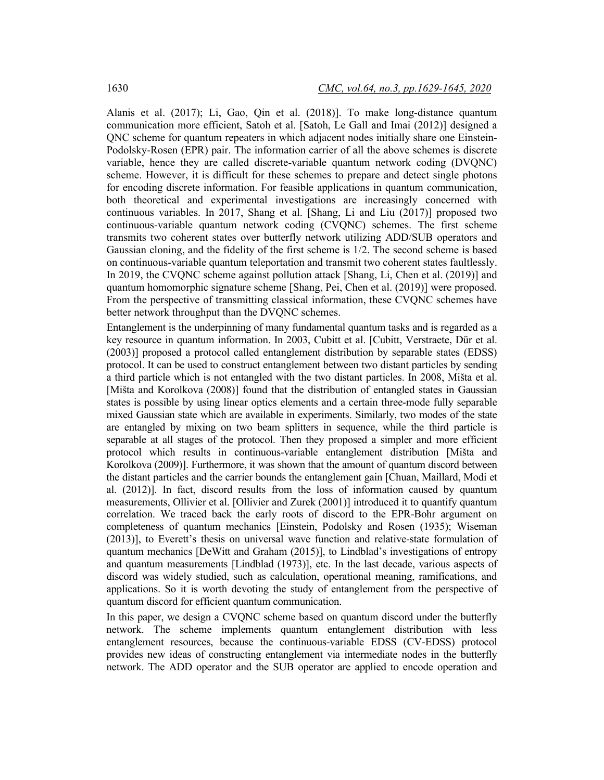Alanis et al. (2017); Li, Gao, Qin et al. (2018)]. To make long-distance quantum communication more efficient, Satoh et al. [Satoh, Le Gall and Imai (2012)] designed a QNC scheme for quantum repeaters in which adjacent nodes initially share one Einstein-Podolsky-Rosen (EPR) pair. The information carrier of all the above schemes is discrete variable, hence they are called discrete-variable quantum network coding (DVQNC) scheme. However, it is difficult for these schemes to prepare and detect single photons for encoding discrete information. For feasible applications in quantum communication, both theoretical and experimental investigations are increasingly concerned with continuous variables. In 2017, Shang et al. [Shang, Li and Liu (2017)] proposed two continuous-variable quantum network coding (CVQNC) schemes. The first scheme transmits two coherent states over butterfly network utilizing ADD/SUB operators and Gaussian cloning, and the fidelity of the first scheme is 1/2. The second scheme is based on continuous-variable quantum teleportation and transmit two coherent states faultlessly. In 2019, the CVQNC scheme against pollution attack [Shang, Li, Chen et al. (2019)] and quantum homomorphic signature scheme [Shang, Pei, Chen et al. (2019)] were proposed. From the perspective of transmitting classical information, these CVQNC schemes have better network throughput than the DVQNC schemes.

Entanglement is the underpinning of many fundamental quantum tasks and is regarded as a key resource in quantum information. In 2003, Cubitt et al. [Cubitt, Verstraete, Dür et al. (2003)] proposed a protocol called entanglement distribution by separable states (EDSS) protocol. It can be used to construct entanglement between two distant particles by sending a third particle which is not entangled with the two distant particles. In 2008, Mišta et al. [Mišta and Korolkova (2008)] found that the distribution of entangled states in Gaussian states is possible by using linear optics elements and a certain three-mode fully separable mixed Gaussian state which are available in experiments. Similarly, two modes of the state are entangled by mixing on two beam splitters in sequence, while the third particle is separable at all stages of the protocol. Then they proposed a simpler and more efficient protocol which results in continuous-variable entanglement distribution [Mišta and Korolkova (2009)]. Furthermore, it was shown that the amount of quantum discord between the distant particles and the carrier bounds the entanglement gain [Chuan, Maillard, Modi et al. (2012)]. In fact, discord results from the loss of information caused by quantum measurements, Ollivier et al. [Ollivier and Zurek (2001)] introduced it to quantify quantum correlation. We traced back the early roots of discord to the EPR-Bohr argument on completeness of quantum mechanics [Einstein, Podolsky and Rosen (1935); Wiseman (2013)], to Everett's thesis on universal wave function and relative-state formulation of quantum mechanics [DeWitt and Graham (2015)], to Lindblad's investigations of entropy and quantum measurements [Lindblad (1973)], etc. In the last decade, various aspects of discord was widely studied, such as calculation, operational meaning, ramifications, and applications. So it is worth devoting the study of entanglement from the perspective of quantum discord for efficient quantum communication.

In this paper, we design a CVQNC scheme based on quantum discord under the butterfly network. The scheme implements quantum entanglement distribution with less entanglement resources, because the continuous-variable EDSS (CV-EDSS) protocol provides new ideas of constructing entanglement via intermediate nodes in the butterfly network. The ADD operator and the SUB operator are applied to encode operation and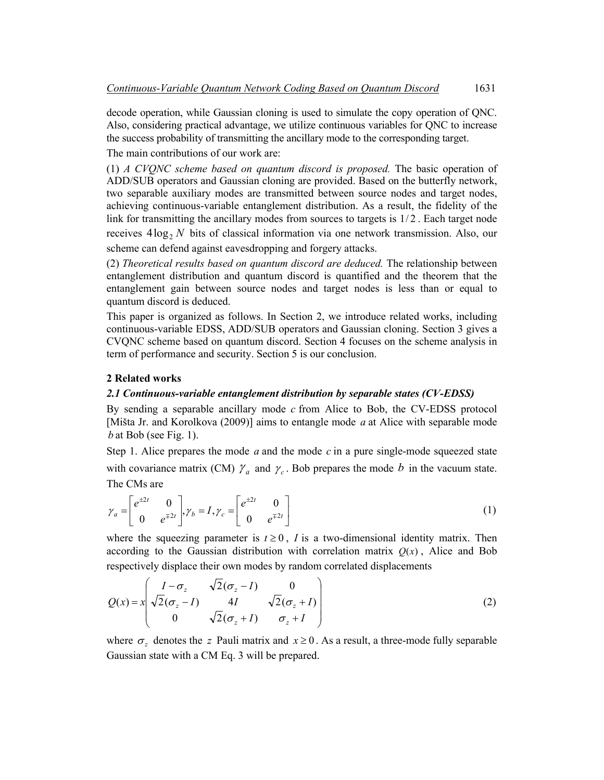decode operation, while Gaussian cloning is used to simulate the copy operation of QNC. Also, considering practical advantage, we utilize continuous variables for QNC to increase the success probability of transmitting the ancillary mode to the corresponding target.

The main contributions of our work are:

(1) *A CVQNC scheme based on quantum discord is proposed.* The basic operation of ADD/SUB operators and Gaussian cloning are provided. Based on the butterfly network, two separable auxiliary modes are transmitted between source nodes and target nodes, achieving continuous-variable entanglement distribution. As a result, the fidelity of the link for transmitting the ancillary modes from sources to targets is  $1/2$ . Each target node receives  $4\log_2 N$  bits of classical information via one network transmission. Also, our scheme can defend against eavesdropping and forgery attacks.

(2) *Theoretical results based on quantum discord are deduced.* The relationship between entanglement distribution and quantum discord is quantified and the theorem that the entanglement gain between source nodes and target nodes is less than or equal to quantum discord is deduced.

This paper is organized as follows. In Section 2, we introduce related works, including continuous-variable EDSS, ADD/SUB operators and Gaussian cloning. Section 3 gives a CVQNC scheme based on quantum discord. Section 4 focuses on the scheme analysis in term of performance and security. Section 5 is our conclusion.

## **2 Related works**

## *2.1 Continuous-variable entanglement distribution by separable states (CV-EDSS)*

By sending a separable ancillary mode *c* from Alice to Bob, the CV-EDSS protocol [Mišta Jr. and Korolkova (2009)] aims to entangle mode *a* at Alice with separable mode  $b$  at Bob (see Fig. 1).

Step 1. Alice prepares the mode *a* and the mode *c* in a pure single-mode squeezed state with covariance matrix (CM)  $\gamma_a$  and  $\gamma_c$ . Bob prepares the mode *b* in the vacuum state. The CMs are

$$
\gamma_a = \begin{bmatrix} e^{\pm 2t} & 0 \\ 0 & e^{\mp 2t} \end{bmatrix}, \gamma_b = I, \gamma_c = \begin{bmatrix} e^{\pm 2t} & 0 \\ 0 & e^{\mp 2t} \end{bmatrix}
$$
 (1)

where the squeezing parameter is  $t \ge 0$ , *I* is a two-dimensional identity matrix. Then according to the Gaussian distribution with correlation matrix  $Q(x)$ , Alice and Bob respectively displace their own modes by random correlated displacements

$$
Q(x) = x \begin{pmatrix} I - \sigma_z & \sqrt{2}(\sigma_z - I) & 0 \\ \sqrt{2}(\sigma_z - I) & 4I & \sqrt{2}(\sigma_z + I) \\ 0 & \sqrt{2}(\sigma_z + I) & \sigma_z + I \end{pmatrix}
$$
 (2)

where  $\sigma_z$  denotes the *z* Pauli matrix and  $x \ge 0$ . As a result, a three-mode fully separable Gaussian state with a CM Eq. 3 will be prepared.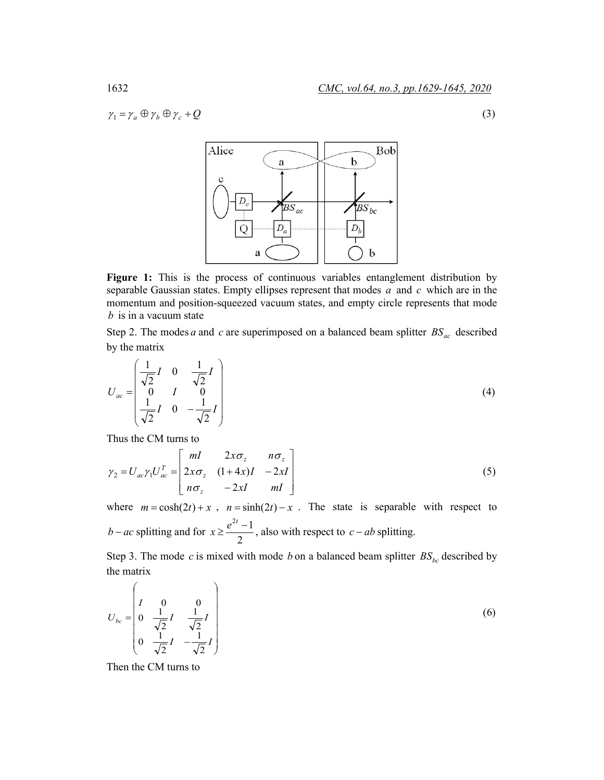$$
\gamma_1 = \gamma_a \oplus \gamma_b \oplus \gamma_c + Q \tag{3}
$$



**Figure 1:** This is the process of continuous variables entanglement distribution by separable Gaussian states. Empty ellipses represent that modes *a* and *c* which are in the momentum and position-squeezed vacuum states, and empty circle represents that mode *b* is in a vacuum state

Step 2. The modes *a* and *c* are superimposed on a balanced beam splitter  $BS_{ac}$  described by the matrix

$$
U_{ac} = \begin{pmatrix} \frac{1}{\sqrt{2}}I & 0 & \frac{1}{\sqrt{2}}I \\ 0 & I & 0 \\ \frac{1}{\sqrt{2}}I & 0 & -\frac{1}{\sqrt{2}}I \end{pmatrix}
$$
 (4)

Thus the CM turns to

$$
\gamma_2 = U_{ac}\gamma_1 U_{ac}^T = \begin{bmatrix} mI & 2x\sigma_z & n\sigma_z \\ 2x\sigma_z & (1+4x)I & -2xI \\ n\sigma_z & -2xI & mI \end{bmatrix}
$$
 (5)

where  $m = \cosh(2t) + x$ ,  $n = \sinh(2t) - x$ . The state is separable with respect to *b* − *ac* splitting and for 2  $x \ge \frac{e^{2t} - 1}{2}$ , also with respect to *c* − *ab* splitting.

Step 3. The mode *c* is mixed with mode *b* on a balanced beam splitter  $BS_{bc}$  described by the matrix

$$
U_{bc} = \begin{pmatrix} I & 0 & 0 \\ 0 & \frac{1}{\sqrt{2}}I & \frac{1}{\sqrt{2}}I \\ 0 & \frac{1}{\sqrt{2}}I & -\frac{1}{\sqrt{2}}I \end{pmatrix}
$$
 (6)

Then the CM turns to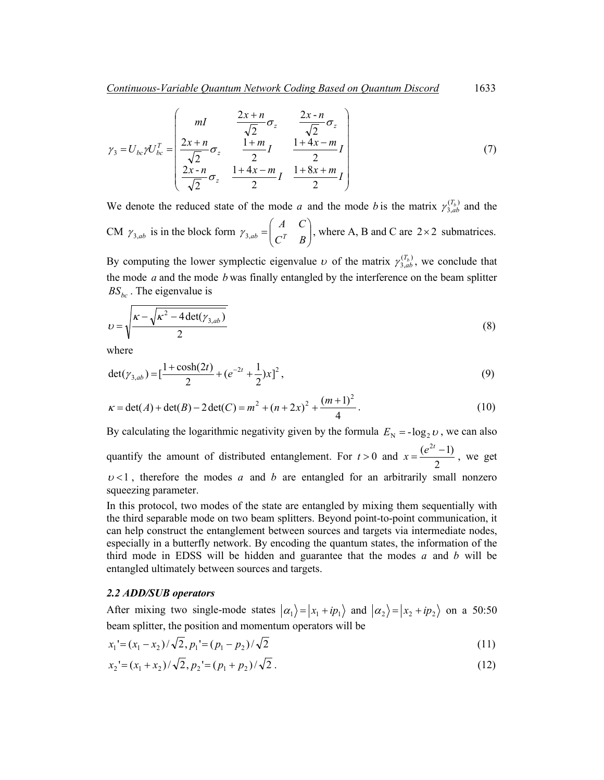$$
\gamma_3 = U_{bc} \gamma U_{bc}^T = \begin{pmatrix} mI & \frac{2x+n}{\sqrt{2}} \sigma_z & \frac{2x-n}{\sqrt{2}} \sigma_z \\ \frac{2x+n}{\sqrt{2}} \sigma_z & \frac{1+m}{2} I & \frac{1+4x-m}{2} I \\ \frac{2x-n}{\sqrt{2}} \sigma_z & \frac{1+4x-m}{2} I & \frac{1+8x+m}{2} I \end{pmatrix}
$$
(7)

We denote the reduced state of the mode *a* and the mode *b* is the matrix  $\gamma_{3,ab}^{(T_b)}$  and the CM  $\gamma_{3,ab}$  is in the block form  $\gamma_{3,ab} = \begin{vmatrix} 1 & c \\ c^T & R \end{vmatrix}$ J  $\setminus$  $\overline{\phantom{a}}$  $\gamma_{3,ab} = \begin{pmatrix} A & C \\ C^T & B \end{pmatrix}$ , where A, B and C are 2×2 submatrices.

By computing the lower symplectic eigenvalue  $\nu$  of the matrix  $\gamma_{3,ab}^{(T_b)}$ , we conclude that the mode *a* and the mode *b* was finally entangled by the interference on the beam splitter  $BS_{bc}$ . The eigenvalue is

$$
v = \sqrt{\frac{\kappa - \sqrt{\kappa^2 - 4 \det(\gamma_{3,ab})}}{2}}
$$
\n(8)

where

$$
\det(\gamma_{3,ab}) = \left[\frac{1+\cosh(2t)}{2} + (e^{-2t} + \frac{1}{2})x\right]^2,\tag{9}
$$

$$
\kappa = \det(A) + \det(B) - 2\det(C) = m^2 + (n+2x)^2 + \frac{(m+1)^2}{4}.
$$
 (10)

By calculating the logarithmic negativity given by the formula  $E_N = -\log_2 v$ , we can also quantify the amount of distributed entanglement. For *t* > 0 and 2  $x = \frac{(e^{2t} - 1)}{2}$ , we get  $v < 1$ , therefore the modes *a* and *b* are entangled for an arbitrarily small nonzero squeezing parameter.

In this protocol, two modes of the state are entangled by mixing them sequentially with the third separable mode on two beam splitters. Beyond point-to-point communication, it can help construct the entanglement between sources and targets via intermediate nodes, especially in a butterfly network. By encoding the quantum states, the information of the third mode in EDSS will be hidden and guarantee that the modes *a* and *b* will be entangled ultimately between sources and targets.

# *2.2 ADD/SUB operators*

After mixing two single-mode states  $|\alpha_1\rangle = |x_1 + ip_1\rangle$  and  $|\alpha_2\rangle = |x_2 + ip_2\rangle$  on a 50:50 beam splitter, the position and momentum operators will be

$$
x_1 = (x_1 - x_2) / \sqrt{2}, p_1 = (p_1 - p_2) / \sqrt{2}
$$
\n(11)

$$
x_2 = (x_1 + x_2) / \sqrt{2}, p_2 = (p_1 + p_2) / \sqrt{2}.
$$
 (12)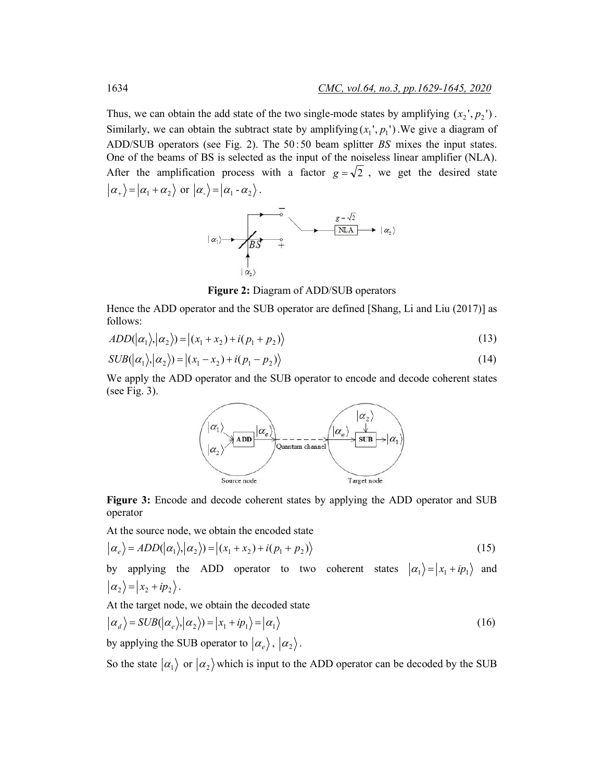Thus, we can obtain the add state of the two single-mode states by amplifying  $(x_2, p_2)$ . Similarly, we can obtain the subtract state by amplifying  $(x_1, p_1)$ . We give a diagram of ADD/SUB operators (see Fig. 2). The 50 :50 beam splitter *BS* mixes the input states. One of the beams of BS is selected as the input of the noiseless linear amplifier (NLA). After the amplification process with a factor  $g = \sqrt{2}$ , we get the desired state  $|\alpha_+\rangle = |\alpha_1 + \alpha_2\rangle$  or  $|\alpha_-\rangle = |\alpha_1 - \alpha_2\rangle$ .



**Figure 2:** Diagram of ADD/SUB operators

Hence the ADD operator and the SUB operator are defined [Shang, Li and Liu (2017)] as follows:

$$
ADD(|\alpha_1\rangle, |\alpha_2\rangle) = |(x_1 + x_2) + i(p_1 + p_2)\rangle
$$
\n(13)

$$
SUB(|\alpha_1\rangle, |\alpha_2\rangle) = |(x_1 - x_2) + i(p_1 - p_2)\rangle
$$
\n(14)

We apply the ADD operator and the SUB operator to encode and decode coherent states (see Fig. 3).



**Figure 3:** Encode and decode coherent states by applying the ADD operator and SUB operator

At the source node, we obtain the encoded state

$$
|\alpha_e\rangle = ADD(|\alpha_1\rangle, |\alpha_2\rangle) = |(x_1 + x_2) + i(p_1 + p_2)\rangle
$$
\n(15)

by applying the ADD operator to two coherent states  $|\alpha_1\rangle = |x_1 + ip_1\rangle$  and  $|\alpha_2\rangle = |x_2 + ip_2\rangle$ .

At the target node, we obtain the decoded state

$$
|\alpha_d\rangle = SUB(|\alpha_e\rangle, |\alpha_2\rangle) = |x_1 + ip_1\rangle = |\alpha_1\rangle
$$
\n(16)

by applying the SUB operator to  $|\alpha_e\rangle$ ,  $|\alpha_2\rangle$ .

So the state  $|\alpha_1\rangle$  or  $|\alpha_2\rangle$  which is input to the ADD operator can be decoded by the SUB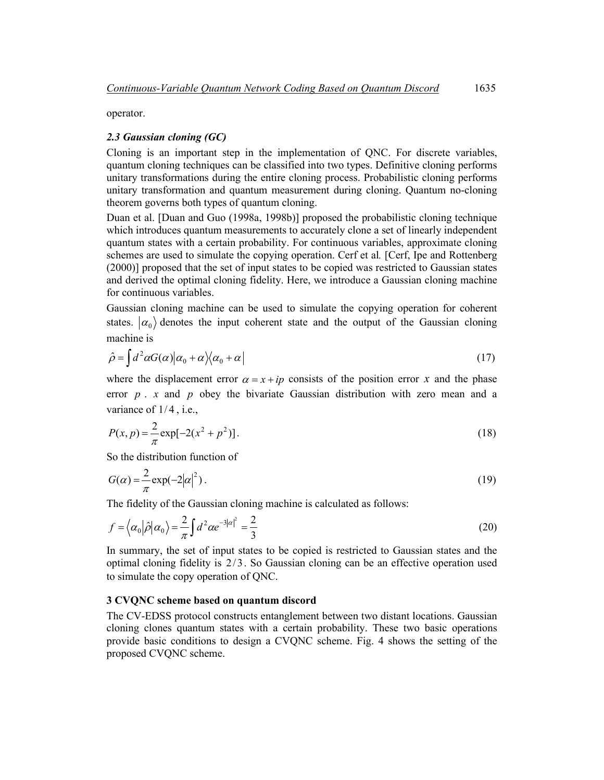operator.

## *2.3 Gaussian cloning (GC)*

Cloning is an important step in the implementation of QNC. For discrete variables, quantum cloning techniques can be classified into two types. Definitive cloning performs unitary transformations during the entire cloning process. Probabilistic cloning performs unitary transformation and quantum measurement during cloning. Quantum no-cloning theorem governs both types of quantum cloning.

Duan et al. [Duan and Guo (1998a, 1998b)] proposed the probabilistic cloning technique which introduces quantum measurements to accurately clone a set of linearly independent quantum states with a certain probability. For continuous variables, approximate cloning schemes are used to simulate the copying operation. Cerf et al*.* [Cerf, Ipe and Rottenberg (2000)] proposed that the set of input states to be copied was restricted to Gaussian states and derived the optimal cloning fidelity. Here, we introduce a Gaussian cloning machine for continuous variables.

Gaussian cloning machine can be used to simulate the copying operation for coherent states.  $\alpha_0$  denotes the input coherent state and the output of the Gaussian cloning machine is

$$
\hat{\rho} = \int d^2 \alpha G(\alpha) |\alpha_0 + \alpha\rangle\langle\alpha_0 + \alpha| \tag{17}
$$

where the displacement error  $\alpha = x + ip$  consists of the position error *x* and the phase error  $p \cdot x$  and  $p$  obey the bivariate Gaussian distribution with zero mean and a variance of  $1/4$ , i.e.,

$$
P(x, p) = \frac{2}{\pi} \exp[-2(x^2 + p^2)].
$$
\n(18)

So the distribution function of

$$
G(\alpha) = \frac{2}{\pi} \exp(-2|\alpha|^2). \tag{19}
$$

The fidelity of the Gaussian cloning machine is calculated as follows:

$$
f = \left\langle \alpha_0 | \hat{\rho} | \alpha_0 \right\rangle = \frac{2}{\pi} \int d^2 \alpha e^{-3|\alpha|^2} = \frac{2}{3}
$$
 (20)

In summary, the set of input states to be copied is restricted to Gaussian states and the optimal cloning fidelity is  $2/3$ . So Gaussian cloning can be an effective operation used to simulate the copy operation of QNC.

## **3 CVQNC scheme based on quantum discord**

The CV-EDSS protocol constructs entanglement between two distant locations. Gaussian cloning clones quantum states with a certain probability. These two basic operations provide basic conditions to design a CVQNC scheme. Fig. 4 shows the setting of the proposed CVQNC scheme.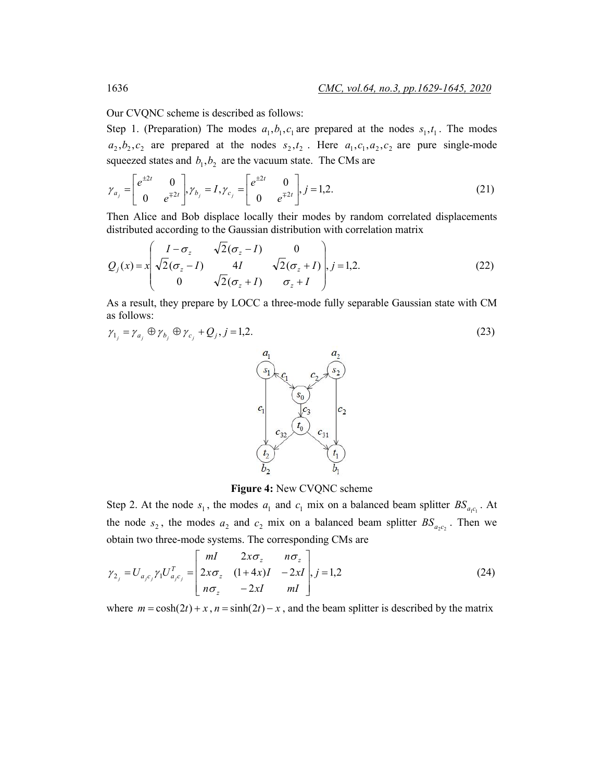Our CVQNC scheme is described as follows:

Step 1. (Preparation) The modes  $a_1, b_1, c_1$  are prepared at the nodes  $s_1, t_1$ . The modes  $a_2, b_2, c_2$  are prepared at the nodes  $s_2, t_2$ . Here  $a_1, c_1, a_2, c_2$  are pure single-mode squeezed states and  $b_1$ ,  $b_2$  are the vacuum state. The CMs are

$$
\gamma_{a_j} = \begin{bmatrix} e^{\pm 2t} & 0 \\ 0 & e^{\mp 2t} \end{bmatrix}, \gamma_{b_j} = I, \gamma_{c_j} = \begin{bmatrix} e^{\pm 2t} & 0 \\ 0 & e^{\mp 2t} \end{bmatrix}, j = 1, 2.
$$
 (21)

Then Alice and Bob displace locally their modes by random correlated displacements distributed according to the Gaussian distribution with correlation matrix

$$
Q_j(x) = x \begin{pmatrix} I - \sigma_z & \sqrt{2}(\sigma_z - I) & 0 \\ \sqrt{2}(\sigma_z - I) & 4I & \sqrt{2}(\sigma_z + I) \\ 0 & \sqrt{2}(\sigma_z + I) & \sigma_z + I \end{pmatrix}, j = 1, 2.
$$
 (22)

As a result, they prepare by LOCC a three-mode fully separable Gaussian state with CM as follows:

$$
\gamma_{1_j} = \gamma_{a_j} \oplus \gamma_{b_j} \oplus \gamma_{c_j} + Q_j, j = 1, 2. \tag{23}
$$



**Figure 4:** New CVQNC scheme

Step 2. At the node  $s_1$ , the modes  $a_1$  and  $c_1$  mix on a balanced beam splitter  $BS_{a,c_1}$ . At the node  $s_2$ , the modes  $a_2$  and  $c_2$  mix on a balanced beam splitter  $BS_{a,c}$ . Then we obtain two three-mode systems. The corresponding CMs are

$$
\gamma_{2_j} = U_{a_j c_j} \gamma_1 U_{a_j c_j}^T = \begin{bmatrix} mI & 2x\sigma_z & n\sigma_z \\ 2x\sigma_z & (1+4x)I & -2xI \\ n\sigma_z & -2xI & mI \end{bmatrix}, j=1,2
$$
\n(24)

where  $m = \cosh(2t) + x$ ,  $n = \sinh(2t) - x$ , and the beam splitter is described by the matrix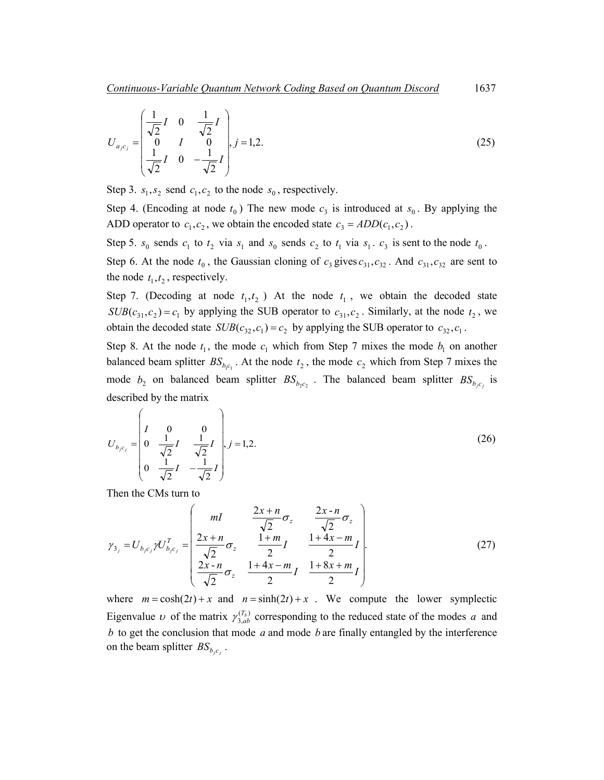$$
U_{a,c_j} = \begin{pmatrix} \frac{1}{\sqrt{2}}I & 0 & \frac{1}{\sqrt{2}}I \\ 0 & I & 0 \\ \frac{1}{\sqrt{2}}I & 0 & -\frac{1}{\sqrt{2}}I \end{pmatrix}, j = 1, 2.
$$
 (25)

Step 3.  $s_1, s_2$  send  $c_1, c_2$  to the node  $s_0$ , respectively.

Step 4. (Encoding at node  $t_0$ ) The new mode  $c_3$  is introduced at  $s_0$ . By applying the ADD operator to  $c_1, c_2$ , we obtain the encoded state  $c_3 = ADD(c_1, c_2)$ .

Step 5.  $s_0$  sends  $c_1$  to  $t_2$  via  $s_1$  and  $s_0$  sends  $c_2$  to  $t_1$  via  $s_1$ .  $c_3$  is sent to the node  $t_0$ .

Step 6. At the node  $t_0$ , the Gaussian cloning of  $c_3$  gives  $c_{31}$ ,  $c_{32}$ . And  $c_{31}$ ,  $c_{32}$  are sent to the node  $t_1, t_2$ , respectively.

Step 7. (Decoding at node  $t_1, t_2$ ) At the node  $t_1$ , we obtain the decoded state  $SUB(c_{31}, c_2) = c_1$  by applying the SUB operator to  $c_{31}, c_2$ . Similarly, at the node  $t_2$ , we obtain the decoded state  $SUB(c_{32}, c_1) = c_2$  by applying the SUB operator to  $c_{32}, c_1$ .

Step 8. At the node  $t_1$ , the mode  $c_1$  which from Step 7 mixes the mode  $b_1$  on another balanced beam splitter  $BS_{b,c}$ . At the node  $t_2$ , the mode  $c_2$  which from Step 7 mixes the mode  $b_2$  on balanced beam splitter  $BS_{b,c}$ . The balanced beam splitter  $BS_{b,c}$  is described by the matrix

$$
U_{b,c_j} = \begin{pmatrix} I & 0 & 0 \\ 0 & \frac{1}{\sqrt{2}}I & \frac{1}{\sqrt{2}}I \\ 0 & \frac{1}{\sqrt{2}}I & -\frac{1}{\sqrt{2}}I \end{pmatrix}, j = 1, 2.
$$
 (26)

Then the CMs turn to

$$
\gamma_{3_j} = U_{b_j c_j} \gamma U_{b_j c_j}^T = \begin{pmatrix} mI & \frac{2x + n}{\sqrt{2}} \sigma_z & \frac{2x - n}{\sqrt{2}} \sigma_z \\ \frac{2x + n}{\sqrt{2}} \sigma_z & \frac{1 + m}{2} I & \frac{1 + 4x - m}{2} I \\ \frac{2x - n}{\sqrt{2}} \sigma_z & \frac{1 + 4x - m}{2} I & \frac{1 + 8x + m}{2} I \end{pmatrix}.
$$
(27)

where  $m = \cosh(2t) + x$  and  $n = \sinh(2t) + x$ . We compute the lower symplectic Eigenvalue  $\nu$  of the matrix  $\gamma_{3,ab}^{(T_b)}$  corresponding to the reduced state of the modes *a* and *b* to get the conclusion that mode *a* and mode *b* are finally entangled by the interference on the beam splitter  $BS_{b,c}$ .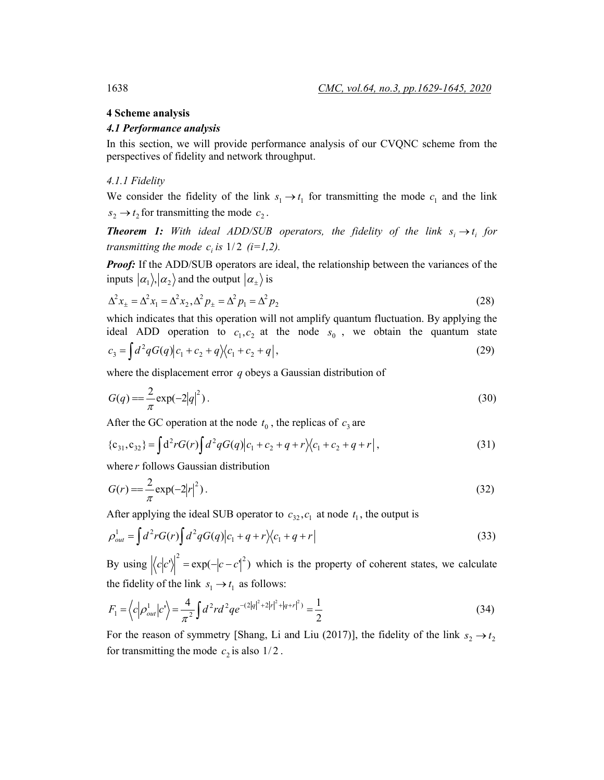## **4 Scheme analysis**

#### *4.1 Performance analysis*

In this section, we will provide performance analysis of our CVQNC scheme from the perspectives of fidelity and network throughput.

#### *4.1.1 Fidelity*

We consider the fidelity of the link  $s_1 \rightarrow t_1$  for transmitting the mode  $c_1$  and the link  $s_2 \rightarrow t_2$  for transmitting the mode  $c_2$ .

*Theorem 1: With ideal ADD/SUB operators, the fidelity of the link*  $s_i \rightarrow t_i$  *for transmitting the mode c<sub>i</sub> is*  $1/2$  *(i=1,2).* 

*Proof:* If the ADD/SUB operators are ideal, the relationship between the variances of the inputs  $|\alpha_1\rangle, |\alpha_2\rangle$  and the output  $|\alpha_{\pm}\rangle$  is

$$
\Delta^2 x_{\pm} = \Delta^2 x_1 = \Delta^2 x_2, \Delta^2 p_{\pm} = \Delta^2 p_1 = \Delta^2 p_2
$$
\n(28)

which indicates that this operation will not amplify quantum fluctuation. By applying the ideal ADD operation to  $c_1, c_2$  at the node  $s_0$ , we obtain the quantum state  $c_3 = \int d^2q G(q)|c_1 + c_2 + q|c_1 + c_2 + q|,$  (29)

$$
\begin{array}{c}\n\text{1} & \text{1} & \text{1} & \text{1} \\
\text{1} & \text{1} & \text{1} & \text{1}\n\end{array}
$$

where the displacement error *q* obeys a Gaussian distribution of

$$
G(q) = \frac{2}{\pi} \exp(-2|q|^2)
$$
 (30)

After the GC operation at the node  $t_0$ , the replicas of  $c_3$  are

$$
\{c_{31}, c_{32}\} = \int d^2 r G(r) \int d^2 q G(q) |c_1 + c_2 + q + r|c_1 + c_2 + q + r|,
$$
\n(31)

where *r* follows Gaussian distribution

$$
G(r) = \frac{2}{\pi} \exp(-2|r|^2).
$$
 (32)

After applying the ideal SUB operator to  $c_{32}, c_1$  at node  $t_1$ , the output is

$$
\rho_{out}^{1} = \int d^{2}r G(r) \int d^{2}q G(q) |c_{1} + q + r\rangle\langle c_{1} + q + r|
$$
\n(33)

By using  $\langle c|c'\rangle^2 = \exp(-|c-c'|^2)$  which is the property of coherent states, we calculate the fidelity of the link  $s_1 \rightarrow t_1$  as follows:

$$
F_1 = \left\langle c \left| \rho_{out}^1 \right| c^1 \right\rangle = \frac{4}{\pi^2} \int d^2 r d^2 q e^{-(2|q|^2 + 2|r|^2 + |q + r|^2)} = \frac{1}{2} \tag{34}
$$

For the reason of symmetry [Shang, Li and Liu (2017)], the fidelity of the link  $s_2 \rightarrow t_2$ for transmitting the mode  $c_2$  is also  $1/2$ .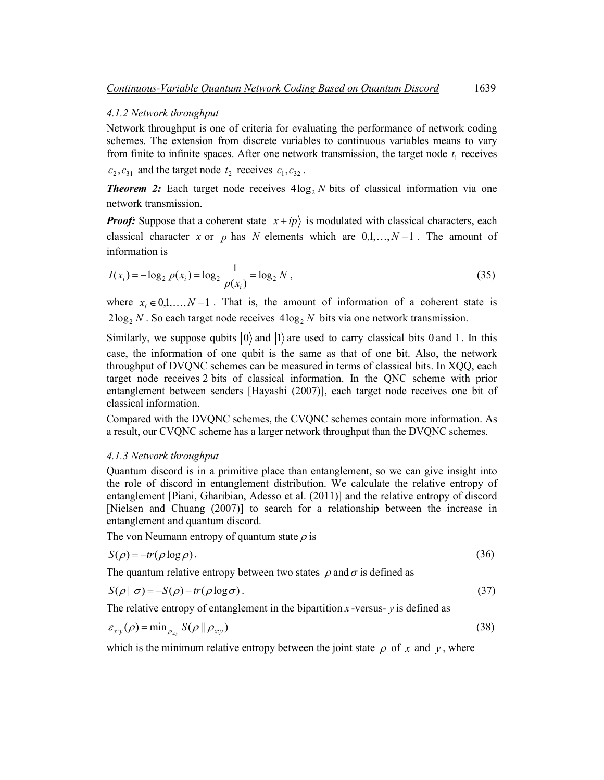#### *4.1.2 Network throughput*

Network throughput is one of criteria for evaluating the performance of network coding schemes. The extension from discrete variables to continuous variables means to vary from finite to infinite spaces. After one network transmission, the target node  $t_1$  receives

 $c_2, c_{31}$  and the target node  $t_2$  receives  $c_1, c_{32}$ .

**Theorem 2:** Each target node receives  $4\log_2 N$  bits of classical information via one network transmission.

*Proof:* Suppose that a coherent state  $\ket{x+ip}$  is modulated with classical characters, each classical character *x* or *p* has *N* elements which are  $0,1,...,N-1$ . The amount of information is

$$
I(x_i) = -\log_2 p(x_i) = \log_2 \frac{1}{p(x_i)} = \log_2 N,
$$
\n(35)

where  $x_i \in 0,1,\ldots,N-1$ . That is, the amount of information of a coherent state is  $2\log_2 N$ . So each target node receives  $4\log_2 N$  bits via one network transmission.

Similarly, we suppose qubits  $|0\rangle$  and  $|1\rangle$  are used to carry classical bits 0 and 1. In this case, the information of one qubit is the same as that of one bit. Also, the network throughput of DVQNC schemes can be measured in terms of classical bits. In XQQ, each target node receives 2 bits of classical information. In the QNC scheme with prior entanglement between senders [Hayashi (2007)], each target node receives one bit of classical information.

Compared with the DVQNC schemes, the CVQNC schemes contain more information. As a result, our CVQNC scheme has a larger network throughput than the DVQNC schemes.

#### *4.1.3 Network throughput*

Quantum discord is in a primitive place than entanglement, so we can give insight into the role of discord in entanglement distribution. We calculate the relative entropy of entanglement [Piani, Gharibian, Adesso et al. (2011)] and the relative entropy of discord [Nielsen and Chuang (2007)] to search for a relationship between the increase in entanglement and quantum discord.

The von Neumann entropy of quantum state  $\rho$  is

$$
S(\rho) = -tr(\rho \log \rho). \tag{36}
$$

The quantum relative entropy between two states  $\rho$  and  $\sigma$  is defined as

$$
S(\rho \, \|\, \sigma) = -S(\rho) - tr(\rho \log \sigma). \tag{37}
$$

The relative entropy of entanglement in the bipartition  $x$ -versus-  $y$  is defined as

$$
\varepsilon_{xy}(\rho) = \min_{\rho_{xy}} S(\rho \parallel \rho_{xy})
$$
\n(38)

which is the minimum relative entropy between the joint state  $\rho$  of x and y, where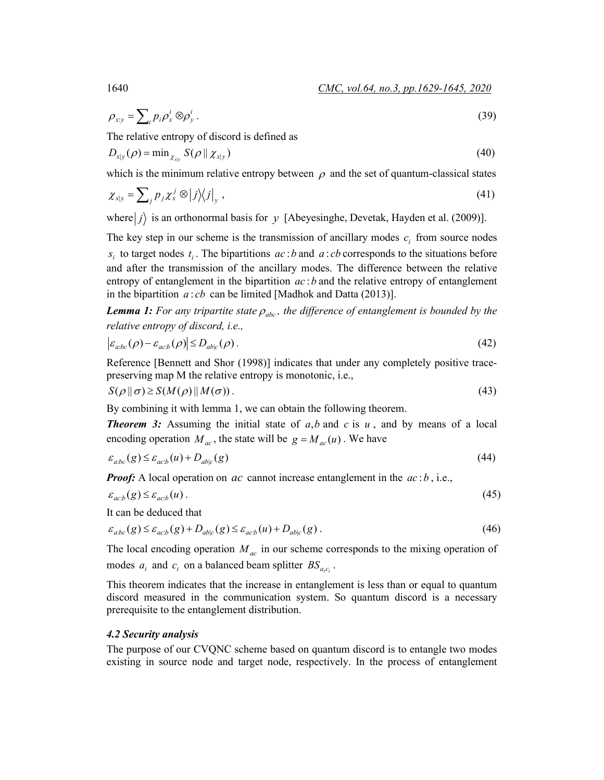$$
\rho_{xy} = \sum_{i} p_i \rho_x^i \otimes \rho_y^i. \tag{39}
$$

The relative entropy of discord is defined as

$$
D_{x|y}(\rho) = \min_{\chi_{x|y}} S(\rho || \chi_{x|y})
$$
\n(40)

which is the minimum relative entropy between  $\rho$  and the set of quantum-classical states

$$
\chi_{x|y} = \sum_{j} p_j \chi_x^j \otimes |j\rangle\langle j|_y, \qquad (41)
$$

where  $|j\rangle$  is an orthonormal basis for *y* [Abeyesinghe, Devetak, Hayden et al. (2009)].

The key step in our scheme is the transmission of ancillary modes  $c_i$  from source nodes  $s_i$  to target nodes  $t_i$ . The bipartitions  $ac:b$  and  $a:cb$  corresponds to the situations before and after the transmission of the ancillary modes. The difference between the relative entropy of entanglement in the bipartition *ac* :*b* and the relative entropy of entanglement in the bipartition *a* : *cb* can be limited [Madhok and Datta (2013)].

*Lemma 1: For any tripartite state*  $\rho_{abc}$ , the difference of entanglement is bounded by the *relative entropy of discord, i.e.,* 

$$
\left| \varepsilon_{a:bc}(\rho) - \varepsilon_{ac,b}(\rho) \right| \le D_{ab|c}(\rho). \tag{42}
$$

Reference [Bennett and Shor (1998)] indicates that under any completely positive tracepreserving map M the relative entropy is monotonic, i.e.,

$$
S(\rho \| \sigma) \ge S(M(\rho) \| M(\sigma)).
$$
\n<sup>(43)</sup>

By combining it with lemma 1, we can obtain the following theorem.

**Theorem 3:** Assuming the initial state of  $a$ , $b$  and  $c$  is  $u$ , and by means of a local encoding operation  $M_{ac}$ , the state will be  $g = M_{ac}(u)$ . We have

$$
\varepsilon_{\text{abc}}(g) \le \varepsilon_{\text{acb}}(u) + D_{\text{abc}}(g) \tag{44}
$$

*Proof:* A local operation on *ac* cannot increase entanglement in the *ac* : *b*, i.e.,

$$
\varepsilon_{ac,b}(g) \le \varepsilon_{ac,b}(u) \tag{45}
$$

It can be deduced that

$$
\varepsilon_{a:bc}(g) \le \varepsilon_{acb}(g) + D_{ab|c}(g) \le \varepsilon_{acb}(u) + D_{ab|c}(g). \tag{46}
$$

The local encoding operation  $M_{ac}$  in our scheme corresponds to the mixing operation of modes  $a_i$  and  $c_i$  on a balanced beam splitter  $BS_{a.c.}$ .

This theorem indicates that the increase in entanglement is less than or equal to quantum discord measured in the communication system. So quantum discord is a necessary prerequisite to the entanglement distribution.

#### *4.2 Security analysis*

The purpose of our CVQNC scheme based on quantum discord is to entangle two modes existing in source node and target node, respectively. In the process of entanglement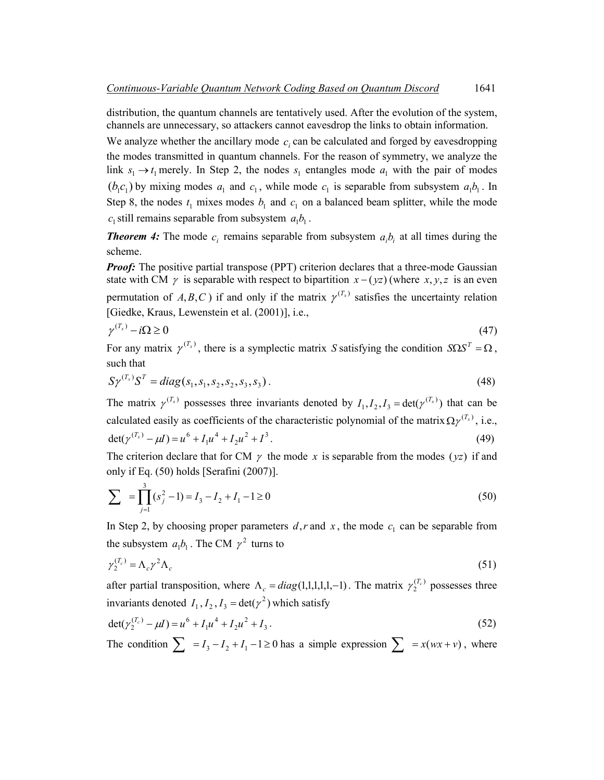distribution, the quantum channels are tentatively used. After the evolution of the system, channels are unnecessary, so attackers cannot eavesdrop the links to obtain information.

We analyze whether the ancillary mode  $c_i$  can be calculated and forged by eavesdropping the modes transmitted in quantum channels. For the reason of symmetry, we analyze the link  $s_1 \rightarrow t_1$  merely. In Step 2, the nodes  $s_1$  entangles mode  $a_1$  with the pair of modes  $(b_1 c_1)$  by mixing modes  $a_1$  and  $c_1$ , while mode  $c_1$  is separable from subsystem  $a_1 b_1$ . In Step 8, the nodes  $t_1$  mixes modes  $b_1$  and  $c_1$  on a balanced beam splitter, while the mode  $c_1$  still remains separable from subsystem  $a_1b_1$ .

**Theorem 4:** The mode  $c_i$  remains separable from subsystem  $a_i b_i$  at all times during the scheme.

*Proof:* The positive partial transpose (PPT) criterion declares that a three-mode Gaussian state with CM  $\gamma$  is separable with respect to bipartition  $x - (\gamma z)$  (where  $x, \gamma, z$  is an even permutation of *A*,*B*,*C*) if and only if the matrix  $\gamma^{(T_x)}$  satisfies the uncertainty relation [Giedke, Kraus, Lewenstein et al. (2001)], i.e.,

$$
\gamma^{(T_x)} - i\Omega \ge 0 \tag{47}
$$

For any matrix  $\gamma^{(T_x)}$ , there is a symplectic matrix *S* satisfying the condition  $S\Omega S^T = \Omega$ , such that

$$
S\gamma^{(T_x)}S^T = diag(s_1, s_1, s_2, s_2, s_3, s_3). \tag{48}
$$

The matrix  $\gamma^{(T_x)}$  possesses three invariants denoted by  $I_1, I_2, I_3 = \det(\gamma^{(T_x)})$  that can be calculated easily as coefficients of the characteristic polynomial of the matrix  $\Omega \gamma^{(T_x)}$ , i.e.,  $\det(\gamma^{(T_x)} - \mu I) = u^6 + I_1 u^4 + I_2 u^2 + I^3$ . (49)

The criterion declare that for CM  $\gamma$  the mode x is separable from the modes ( $vz$ ) if and only if Eq. (50) holds [Serafini (2007)].

$$
\sum_{j=1}^3 = \prod_{j=1}^3 (s_j^2 - 1) = I_3 - I_2 + I_1 - 1 \ge 0
$$
\n(50)

In Step 2, by choosing proper parameters  $d, r$  and  $x$ , the mode  $c_1$  can be separable from the subsystem  $a_1b_1$ . The CM  $\gamma^2$  turns to

$$
\gamma_2^{(T_c)} = \Lambda_c \gamma^2 \Lambda_c \tag{51}
$$

after partial transposition, where  $\Lambda_c = diag(1,1,1,1,1,-1)$ . The matrix  $\gamma_2^{(T_c)}$  possesses three invariants denoted  $I_1, I_2, I_3 = det(\gamma^2)$  which satisfy

$$
\det(\gamma_2^{(T_c)} - \mu I) = u^6 + I_1 u^4 + I_2 u^2 + I_3. \tag{52}
$$

The condition  $\sum = I_3 - I_2 + I_1 - 1 \ge 0$  has a simple expression  $\sum = x(wx + v)$ , where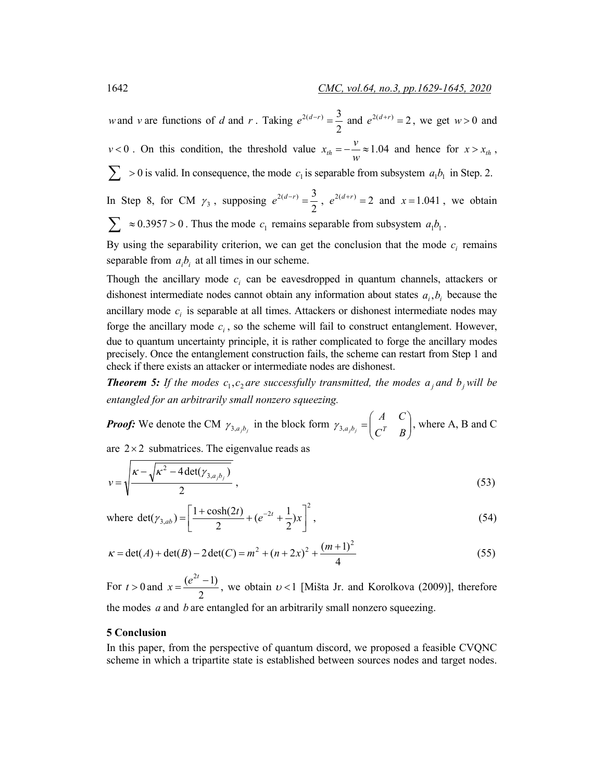*w* and *v* are functions of *d* and *r*. Taking  $e^{2(d-r)} = \frac{3}{2}$  and  $e^{2(d+r)} = 2$ , we get *w* > 0 and *v* < 0. On this condition, the threshold value  $x_{th} = -2.04$ *w*  $x_{th} = -\frac{v}{m} \approx 1.04$  and hence for  $x > x_{th}$ ,  $\sum$  > 0 is valid. In consequence, the mode  $c_1$  is separable from subsystem  $a_1b_1$  in Step. 2. In Step 8, for CM  $\gamma_3$ , supposing  $e^{2(d-r)} = \frac{3}{2}$ ,  $e^{2(d+r)} = 2$  and  $x = 1.041$ , we obtain

 $\sum \approx 0.3957 > 0$ . Thus the mode  $c_1$  remains separable from subsystem  $a_1b_1$ .

By using the separability criterion, we can get the conclusion that the mode  $c_i$  remains separable from  $a_i b_i$  at all times in our scheme.

Though the ancillary mode  $c_i$  can be eavesdropped in quantum channels, attackers or dishonest intermediate nodes cannot obtain any information about states  $a_i, b_i$  because the ancillary mode  $c_i$  is separable at all times. Attackers or dishonest intermediate nodes may forge the ancillary mode  $c_i$ , so the scheme will fail to construct entanglement. However, due to quantum uncertainty principle, it is rather complicated to forge the ancillary modes precisely. Once the entanglement construction fails, the scheme can restart from Step 1 and check if there exists an attacker or intermediate nodes are dishonest.

*Theorem 5: If the modes*  $c_1, c_2$  *are successfully transmitted, the modes*  $a_i$  *and*  $b_j$  *will be entangled for an arbitrarily small nonzero squeezing.*

*Proof:* We denote the CM  $\gamma_{3,a_jb_j}$  in the block form  $\gamma_{3,a_jb_j} = \begin{vmatrix} a & b \\ c & b \end{vmatrix}$ J  $\backslash$  $\overline{\phantom{a}}$  $\gamma_{3,a_jb_j} = \begin{pmatrix} A & C \\ C^T & B \end{pmatrix}$ , where A, B and C

are  $2 \times 2$  submatrices. The eigenvalue reads as

$$
v = \sqrt{\frac{\kappa - \sqrt{\kappa^2 - 4 \det(\gamma_{3, a_j b_j})}}{2}},
$$
\n(53)

where 
$$
det(\gamma_{3,ab}) = \left[\frac{1 + cosh(2t)}{2} + (e^{-2t} + \frac{1}{2})x\right]^2
$$
, (54)

$$
\kappa = \det(A) + \det(B) - 2\det(C) = m^2 + (n+2x)^2 + \frac{(m+1)^2}{4}
$$
\n(55)

For  $t > 0$  and 2  $x = \frac{(e^{2t} - 1)}{2}$ , we obtain  $u < 1$  [Mišta Jr. and Korolkova (2009)], therefore the modes *a* and *b* are entangled for an arbitrarily small nonzero squeezing.

## **5 Conclusion**

In this paper, from the perspective of quantum discord, we proposed a feasible CVQNC scheme in which a tripartite state is established between sources nodes and target nodes.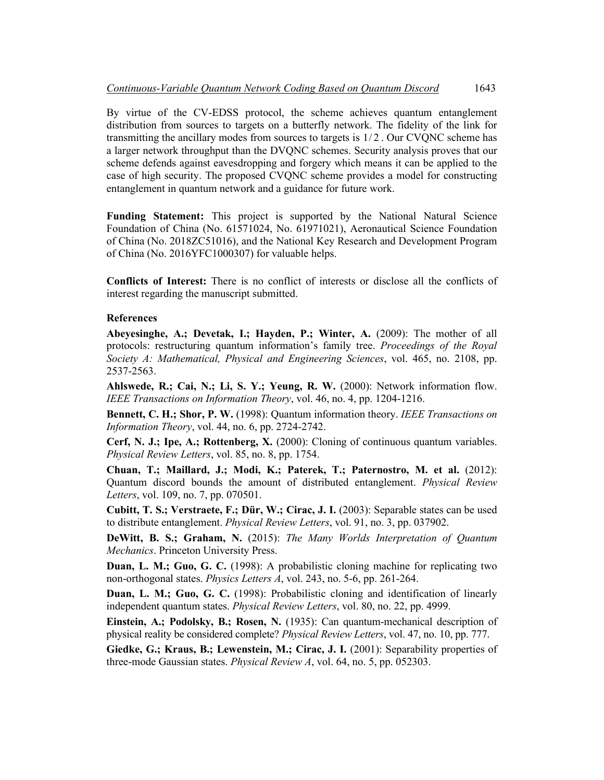By virtue of the CV-EDSS protocol, the scheme achieves quantum entanglement distribution from sources to targets on a butterfly network. The fidelity of the link for transmitting the ancillary modes from sources to targets is  $1/2$ . Our CVONC scheme has a larger network throughput than the DVQNC schemes. Security analysis proves that our scheme defends against eavesdropping and forgery which means it can be applied to the case of high security. The proposed CVQNC scheme provides a model for constructing entanglement in quantum network and a guidance for future work.

**Funding Statement:** This project is supported by the National Natural Science Foundation of China (No. 61571024, No. 61971021), Aeronautical Science Foundation of China (No. 2018ZC51016), and the National Key Research and Development Program of China (No. 2016YFC1000307) for valuable helps.

**Conflicts of Interest:** There is no conflict of interests or disclose all the conflicts of interest regarding the manuscript submitted.

## **References**

**Abeyesinghe, A.; Devetak, I.; Hayden, P.; Winter, A.** (2009): The mother of all protocols: restructuring quantum information's family tree. *Proceedings of the Royal Society A: Mathematical, Physical and Engineering Sciences*, vol. 465, no. 2108, pp. 2537-2563.

**Ahlswede, R.; Cai, N.; Li, S. Y.; Yeung, R. W.** (2000): Network information flow. *IEEE Transactions on Information Theory*, vol. 46, no. 4, pp. 1204-1216.

**Bennett, C. H.; Shor, P. W.** (1998): Quantum information theory. *IEEE Transactions on Information Theory*, vol. 44, no. 6, pp. 2724-2742.

**Cerf, N. J.; Ipe, A.; Rottenberg, X.** (2000): Cloning of continuous quantum variables. *Physical Review Letters*, vol. 85, no. 8, pp. 1754.

**Chuan, T.; Maillard, J.; Modi, K.; Paterek, T.; Paternostro, M. et al.** (2012): Quantum discord bounds the amount of distributed entanglement. *Physical Review Letters*, vol. 109, no. 7, pp. 070501.

**Cubitt, T. S.; Verstraete, F.; Dür, W.; Cirac, J. I.** (2003): Separable states can be used to distribute entanglement. *Physical Review Letters*, vol. 91, no. 3, pp. 037902.

**DeWitt, B. S.; Graham, N.** (2015): *The Many Worlds Interpretation of Quantum Mechanics*. Princeton University Press.

**Duan, L. M.; Guo, G. C.** (1998): A probabilistic cloning machine for replicating two non-orthogonal states. *Physics Letters A*, vol. 243, no. 5-6, pp. 261-264.

**Duan, L. M.; Guo, G. C.** (1998): Probabilistic cloning and identification of linearly independent quantum states. *Physical Review Letters*, vol. 80, no. 22, pp. 4999.

**Einstein, A.; Podolsky, B.; Rosen, N.** (1935): Can quantum-mechanical description of physical reality be considered complete? *Physical Review Letters*, vol. 47, no. 10, pp. 777.

Giedke, G.; Kraus, B.; Lewenstein, M.; Cirac, J. I. (2001): Separability properties of three-mode Gaussian states. *Physical Review A*, vol. 64, no. 5, pp. 052303.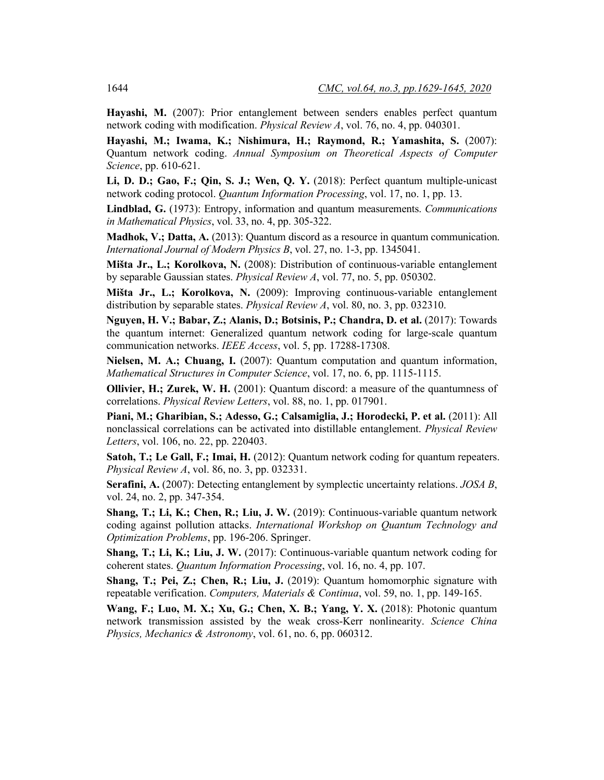Hayashi, M. (2007): Prior entanglement between senders enables perfect quantum network coding with modification. *Physical Review A*, vol. 76, no. 4, pp. 040301.

**Hayashi, M.; Iwama, K.; Nishimura, H.; Raymond, R.; Yamashita, S.** (2007): Quantum network coding. *Annual Symposium on Theoretical Aspects of Computer Science*, pp. 610-621.

**Li, D. D.; Gao, F.; Qin, S. J.; Wen, Q. Y.** (2018): Perfect quantum multiple-unicast network coding protocol. *Quantum Information Processing*, vol. 17, no. 1, pp. 13.

**Lindblad, G.** (1973): Entropy, information and quantum measurements. *Communications in Mathematical Physics*, vol. 33, no. 4, pp. 305-322.

**Madhok, V.; Datta, A.** (2013): Quantum discord as a resource in quantum communication. *International Journal of Modern Physics B*, vol. 27, no. 1-3, pp. 1345041.

**Mišta Jr., L.; Korolkova, N.** (2008): Distribution of continuous-variable entanglement by separable Gaussian states. *Physical Review A*, vol. 77, no. 5, pp. 050302.

**Mišta Jr., L.; Korolkova, N.** (2009): Improving continuous-variable entanglement distribution by separable states. *Physical Review A*, vol. 80, no. 3, pp. 032310.

**Nguyen, H. V.; Babar, Z.; Alanis, D.; Botsinis, P.; Chandra, D. et al.** (2017): Towards the quantum internet: Generalized quantum network coding for large-scale quantum communication networks. *IEEE Access*, vol. 5, pp. 17288-17308.

**Nielsen, M. A.; Chuang, I.** (2007): Quantum computation and quantum information, *Mathematical Structures in Computer Science*, vol. 17, no. 6, pp. 1115-1115.

**Ollivier, H.; Zurek, W. H.** (2001): Quantum discord: a measure of the quantumness of correlations. *Physical Review Letters*, vol. 88, no. 1, pp. 017901.

**Piani, M.; Gharibian, S.; Adesso, G.; Calsamiglia, J.; Horodecki, P. et al.** (2011): All nonclassical correlations can be activated into distillable entanglement. *Physical Review Letters*, vol. 106, no. 22, pp. 220403.

**Satoh, T.; Le Gall, F.; Imai, H.** (2012): Quantum network coding for quantum repeaters. *Physical Review A*, vol. 86, no. 3, pp. 032331.

**Serafini, A.** (2007): Detecting entanglement by symplectic uncertainty relations. *JOSA B*, vol. 24, no. 2, pp. 347-354.

**Shang, T.; Li, K.; Chen, R.; Liu, J. W.** (2019): Continuous-variable quantum network coding against pollution attacks. *International Workshop on Quantum Technology and Optimization Problems*, pp. 196-206. Springer.

**Shang, T.; Li, K.; Liu, J. W.** (2017): Continuous-variable quantum network coding for coherent states. *Quantum Information Processing*, vol. 16, no. 4, pp. 107.

**Shang, T.; Pei, Z.; Chen, R.; Liu, J.** (2019): Quantum homomorphic signature with repeatable verification. *Computers, Materials & Continua*, vol. 59, no. 1, pp. 149-165.

**Wang, F.; Luo, M. X.; Xu, G.; Chen, X. B.; Yang, Y. X.** (2018): Photonic quantum network transmission assisted by the weak cross-Kerr nonlinearity. *Science China Physics, Mechanics & Astronomy*, vol. 61, no. 6, pp. 060312.